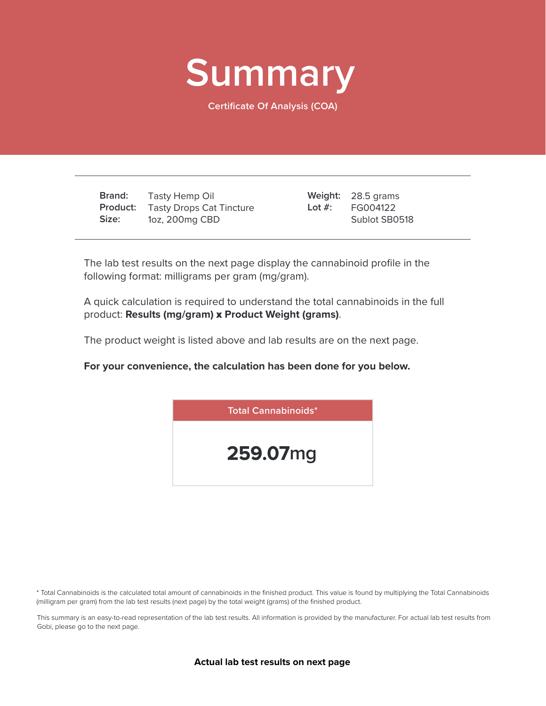

**Certificate Of Analysis (COA)**

**Brand: Product:** Tasty Drops Cat Tincture **Size:** Tasty Hemp Oil 1oz, 200mg CBD

28.5 grams **Weight:** FG004122 Sublot SB0518 **Lot #:**

The lab test results on the next page display the cannabinoid profile in the following format: milligrams per gram (mg/gram).

A quick calculation is required to understand the total cannabinoids in the full product: **Results (mg/gram)** x **Product Weight (grams)**.

The product weight is listed above and lab results are on the next page.

**For your convenience, the calculation has been done for you below.**



\* Total Cannabinoids is the calculated total amount of cannabinoids in the finished product. This value is found by multiplying the Total Cannabinoids (milligram per gram) from the lab test results (next page) by the total weight (grams) of the finished product.

This summary is an easy-to-read representation of the lab test results. All information is provided by the manufacturer. For actual lab test results from Gobi, please go to the next page.